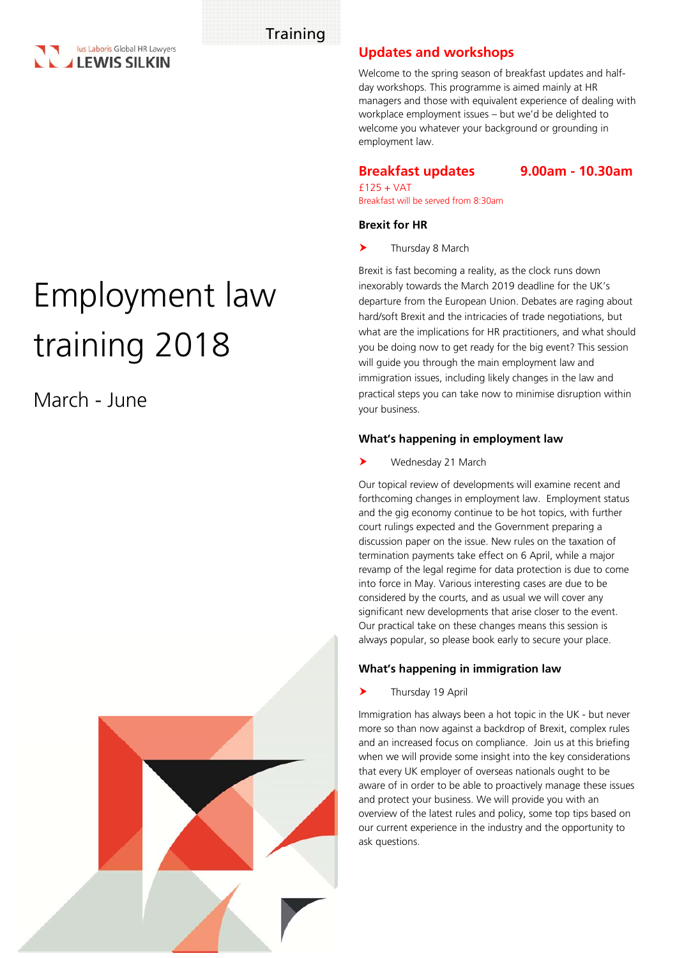

# Employment law training 2018

March - June



# **Updates and workshops**

Welcome to the spring season of breakfast updates and halfday workshops. This programme is aimed mainly at HR managers and those with equivalent experience of dealing with workplace employment issues – but we'd be delighted to welcome you whatever your background or grounding in employment law.

**Breakfast updates 9.00am - 10.30am**

 $f125 + VAT$ Breakfast will be served from 8:30am

#### **Brexit for HR**

> Thursday 8 March

Brexit is fast becoming a reality, as the clock runs down inexorably towards the March 2019 deadline for the UK's departure from the European Union. Debates are raging about hard/soft Brexit and the intricacies of trade negotiations, but what are the implications for HR practitioners, and what should you be doing now to get ready for the big event? This session will guide you through the main employment law and immigration issues, including likely changes in the law and practical steps you can take now to minimise disruption within your business.

#### **What's happening in employment law**

Wednesday 21 March

Our topical review of developments will examine recent and forthcoming changes in employment law. Employment status and the gig economy continue to be hot topics, with further court rulings expected and the Government preparing a discussion paper on the issue. New rules on the taxation of termination payments take effect on 6 April, while a major revamp of the legal regime for data protection is due to come into force in May. Various interesting cases are due to be considered by the courts, and as usual we will cover any significant new developments that arise closer to the event. Our practical take on these changes means this session is always popular, so please book early to secure your place.

## **What's happening in immigration law**

Thursday 19 April

Immigration has always been a hot topic in the UK - but never more so than now against a backdrop of Brexit, complex rules and an increased focus on compliance.Join us at this briefing when we will provide some insight into the key considerations that every UK employer of overseas nationals ought to be aware of in order to be able to proactively manage these issues and protect your business. We will provide you with an overview of the latest rules and policy, some top tips based on our current experience in the industry and the opportunity to ask questions.